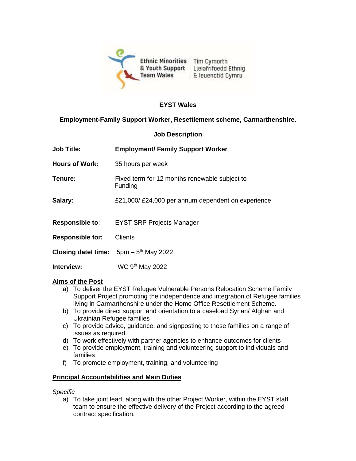

### **EYST Wales**

## **Employment-Family Support Worker, Resettlement scheme, Carmarthenshire.**

#### **Job Description**

| <b>Job Title:</b>       | <b>Employment/ Family Support Worker</b>                 |
|-------------------------|----------------------------------------------------------|
| <b>Hours of Work:</b>   | 35 hours per week                                        |
| Tenure:                 | Fixed term for 12 months renewable subject to<br>Funding |
| Salary:                 | £21,000/£24,000 per annum dependent on experience        |
| <b>Responsible to:</b>  | <b>EYST SRP Projects Manager</b>                         |
| <b>Responsible for:</b> | <b>Clients</b>                                           |
|                         | <b>Closing date/ time:</b> $5pm - 5th$ May 2022          |
| Interview:              | WC 9 <sup>th</sup> May 2022                              |

### **Aims of the Post**

- a) To deliver the EYST Refugee Vulnerable Persons Relocation Scheme Family Support Project promoting the independence and integration of Refugee families living in Carmarthenshire under the Home Office Resettlement Scheme.
- b) To provide direct support and orientation to a caseload Syrian/ Afghan and Ukrainian Refugee families
- c) To provide advice, guidance, and signposting to these families on a range of issues as required.
- d) To work effectively with partner agencies to enhance outcomes for clients
- e) To provide employment, training and volunteering support to individuals and families
- f) To promote employment, training, and volunteering

### **Principal Accountabilities and Main Duties**

*Specific*

a) To take joint lead, along with the other Project Worker, within the EYST staff team to ensure the effective delivery of the Project according to the agreed contract specification.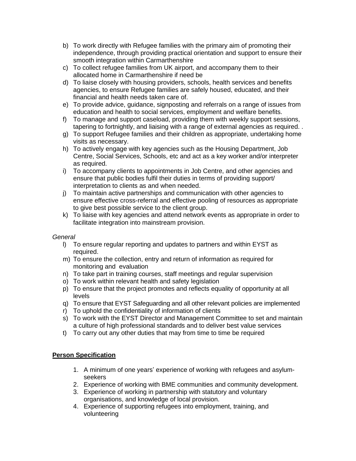- b) To work directly with Refugee families with the primary aim of promoting their independence, through providing practical orientation and support to ensure their smooth integration within Carmarthenshire
- c) To collect refugee families from UK airport, and accompany them to their allocated home in Carmarthenshire if need be
- d) To liaise closely with housing providers, schools, health services and benefits agencies, to ensure Refugee families are safely housed, educated, and their financial and health needs taken care of.
- e) To provide advice, guidance, signposting and referrals on a range of issues from education and health to social services, employment and welfare benefits.
- f) To manage and support caseload, providing them with weekly support sessions, tapering to fortnightly, and liaising with a range of external agencies as required. .
- g) To support Refugee families and their children as appropriate, undertaking home visits as necessary.
- h) To actively engage with key agencies such as the Housing Department, Job Centre, Social Services, Schools, etc and act as a key worker and/or interpreter as required.
- i) To accompany clients to appointments in Job Centre, and other agencies and ensure that public bodies fulfil their duties in terms of providing support/ interpretation to clients as and when needed.
- j) To maintain active partnerships and communication with other agencies to ensure effective cross-referral and effective pooling of resources as appropriate to give best possible service to the client group.
- k) To liaise with key agencies and attend network events as appropriate in order to facilitate integration into mainstream provision.

### *General*

- l) To ensure regular reporting and updates to partners and within EYST as required.
- m) To ensure the collection, entry and return of information as required for monitoring and evaluation
- n) To take part in training courses, staff meetings and regular supervision
- o) To work within relevant health and safety legislation
- p) To ensure that the project promotes and reflects equality of opportunity at all levels
- q) To ensure that EYST Safeguarding and all other relevant policies are implemented
- r) To uphold the confidentiality of information of clients
- s) To work with the EYST Director and Management Committee to set and maintain a culture of high professional standards and to deliver best value services
- t) To carry out any other duties that may from time to time be required

# **Person Specification**

- 1. A minimum of one years' experience of working with refugees and asylumseekers
- 2. Experience of working with BME communities and community development.
- 3. Experience of working in partnership with statutory and voluntary organisations, and knowledge of local provision.
- 4. Experience of supporting refugees into employment, training, and volunteering